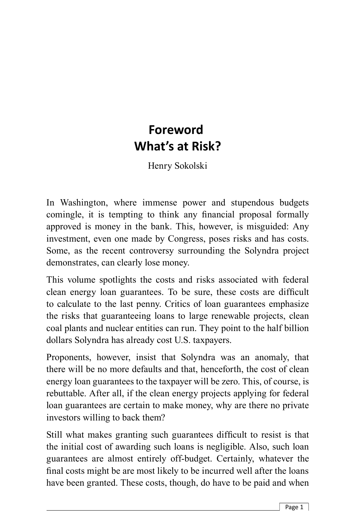## **Foreword What's at Risk?**

Henry Sokolski

In Washington, where immense power and stupendous budgets comingle, it is tempting to think any financial proposal formally approved is money in the bank. This, however, is misguided: Any investment, even one made by Congress, poses risks and has costs. Some, as the recent controversy surrounding the Solyndra project demonstrates, can clearly lose money.

This volume spotlights the costs and risks associated with federal clean energy loan guarantees. To be sure, these costs are difficult to calculate to the last penny. Critics of loan guarantees emphasize the risks that guaranteeing loans to large renewable projects, clean coal plants and nuclear entities can run. They point to the half billion dollars Solyndra has already cost U.S. taxpayers.

Proponents, however, insist that Solyndra was an anomaly, that there will be no more defaults and that, henceforth, the cost of clean energy loan guarantees to the taxpayer will be zero. This, of course, is rebuttable. After all, if the clean energy projects applying for federal loan guarantees are certain to make money, why are there no private investors willing to back them?

Still what makes granting such guarantees difficult to resist is that the initial cost of awarding such loans is negligible. Also, such loan guarantees are almost entirely off-budget. Certainly, whatever the final costs might be are most likely to be incurred well after the loans have been granted. These costs, though, do have to be paid and when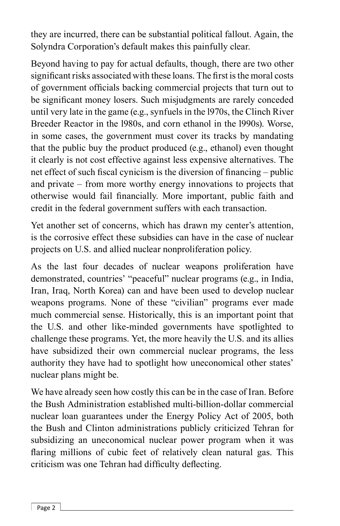they are incurred, there can be substantial political fallout. Again, the Solyndra Corporation's default makes this painfully clear.

Beyond having to pay for actual defaults, though, there are two other significant risks associated with these loans. The first is the moral costs of government officials backing commercial projects that turn out to be significant money losers. Such misjudgments are rarely conceded until very late in the game (e.g., synfuels in the l970s, the Clinch River Breeder Reactor in the l980s, and corn ethanol in the l990s). Worse, in some cases, the government must cover its tracks by mandating that the public buy the product produced (e.g., ethanol) even thought it clearly is not cost effective against less expensive alternatives. The net effect of such fiscal cynicism is the diversion of financing – public and private – from more worthy energy innovations to projects that otherwise would fail financially. More important, public faith and credit in the federal government suffers with each transaction.

Yet another set of concerns, which has drawn my center's attention, is the corrosive effect these subsidies can have in the case of nuclear projects on U.S. and allied nuclear nonproliferation policy.

As the last four decades of nuclear weapons proliferation have demonstrated, countries' "peaceful" nuclear programs (e.g., in India, Iran, Iraq, North Korea) can and have been used to develop nuclear weapons programs. None of these "civilian" programs ever made much commercial sense. Historically, this is an important point that the U.S. and other like-minded governments have spotlighted to challenge these programs. Yet, the more heavily the U.S. and its allies have subsidized their own commercial nuclear programs, the less authority they have had to spotlight how uneconomical other states' nuclear plans might be.

We have already seen how costly this can be in the case of Iran. Before the Bush Administration established multi-billion-dollar commercial nuclear loan guarantees under the Energy Policy Act of 2005, both the Bush and Clinton administrations publicly criticized Tehran for subsidizing an uneconomical nuclear power program when it was flaring millions of cubic feet of relatively clean natural gas. This criticism was one Tehran had difficulty deflecting.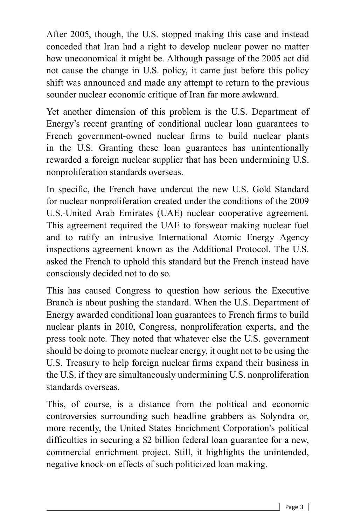After 2005, though, the U.S. stopped making this case and instead conceded that Iran had a right to develop nuclear power no matter how uneconomical it might be. Although passage of the 2005 act did not cause the change in U.S. policy, it came just before this policy shift was announced and made any attempt to return to the previous sounder nuclear economic critique of Iran far more awkward.

Yet another dimension of this problem is the U.S. Department of Energy's recent granting of conditional nuclear loan guarantees to French government-owned nuclear firms to build nuclear plants in the U.S. Granting these loan guarantees has unintentionally rewarded a foreign nuclear supplier that has been undermining U.S. nonproliferation standards overseas.

In specific, the French have undercut the new U.S. Gold Standard for nuclear nonproliferation created under the conditions of the 2009 U.S.-United Arab Emirates (UAE) nuclear cooperative agreement. This agreement required the UAE to forswear making nuclear fuel and to ratify an intrusive International Atomic Energy Agency inspections agreement known as the Additional Protocol. The U.S. asked the French to uphold this standard but the French instead have consciously decided not to do so.

This has caused Congress to question how serious the Executive Branch is about pushing the standard. When the U.S. Department of Energy awarded conditional loan guarantees to French firms to build nuclear plants in 2010, Congress, nonproliferation experts, and the press took note. They noted that whatever else the U.S. government should be doing to promote nuclear energy, it ought not to be using the U.S. Treasury to help foreign nuclear firms expand their business in the U.S. if they are simultaneously undermining U.S. nonproliferation standards overseas.

This, of course, is a distance from the political and economic controversies surrounding such headline grabbers as Solyndra or, more recently, the United States Enrichment Corporation's political difficulties in securing a \$2 billion federal loan guarantee for a new, commercial enrichment project. Still, it highlights the unintended, negative knock-on effects of such politicized loan making.